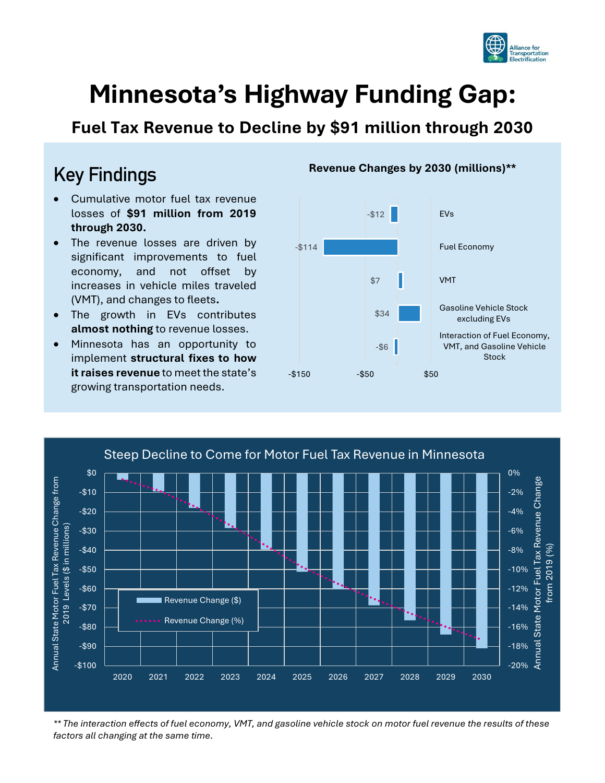

# **Minnesota's Highway Funding Gap:**

**Fuel Tax Revenue to Decline by \$91 million through 2030**

### Key Findings

- Cumulative motor fuel tax revenue losses of **\$91 million from 2019 through 2030.**
- The revenue losses are driven by significant improvements to fuel economy, and not offset by increases in vehicle miles traveled (VMT), and changes to fleets**.**
- The growth in EVs contributes **almost nothing** to revenue losses.
- Minnesota has an opportunity to implement **structural fixes to how it raises revenue** to meet the state's growing transportation needs.



#### **Revenue Changes by 2030 (millions)\*\***



*\*\* The interaction effects of fuel economy, VMT, and gasoline vehicle stock on motor fuel revenue the results of these factors all changing at the same time.*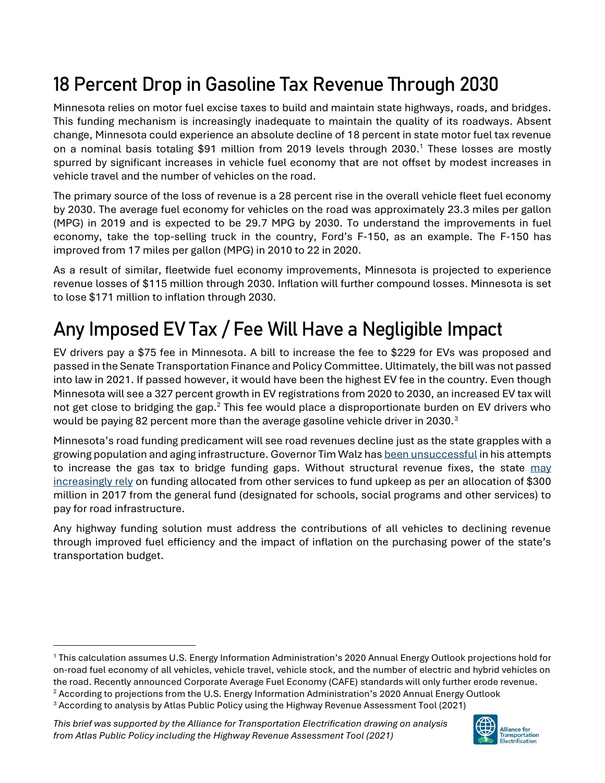## 18 Percent Drop in Gasoline Tax Revenue Through 2030

Minnesota relies on motor fuel excise taxes to build and maintain state highways, roads, and bridges. This funding mechanism is increasingly inadequate to maintain the quality of its roadways. Absent change, Minnesota could experience an absolute decline of 18 percent in state motor fuel tax revenue on a nominal basis totaling \$91 million from 2019 levels through 2030.<sup>1</sup> These losses are mostly spurred by significant increases in vehicle fuel economy that are not offset by modest increases in vehicle travel and the number of vehicles on the road.

The primary source of the loss of revenue is a 28 percent rise in the overall vehicle fleet fuel economy by 2030. The average fuel economy for vehicles on the road was approximately 23.3 miles per gallon (MPG) in 2019 and is expected to be 29.7 MPG by 2030. To understand the improvements in fuel economy, take the top-selling truck in the country, Ford's F-150, as an example. The F-150 has improved from 17 miles per gallon (MPG) in 2010 to 22 in 2020.

As a result of similar, fleetwide fuel economy improvements, Minnesota is projected to experience revenue losses of \$115 million through 2030. Inflation will further compound losses. Minnesota is set to lose \$171 million to inflation through 2030.

# Any Imposed EV Tax / Fee Will Have a Negligible Impact

EV drivers pay a \$75 fee in Minnesota. A bill to increase the fee to \$229 for EVs was proposed and passed in the Senate Transportation Finance and Policy Committee. Ultimately, the bill was not passed into law in 2021. If passed however, it would have been the highest EV fee in the country. Even though Minnesota will see a 327 percent growth in EV registrations from 2020 to 2030, an increased EV tax will not get close to bridging the gap.<sup>2</sup> This fee would place a disproportionate burden on EV drivers who would be paying 82 percent more than the average gasoline vehicle driver in 2030.<sup>3</sup>

Minnesota's road funding predicament will see road revenues decline just as the state grapples with a growing population and aging infrastructure. Governor Tim Walz ha[s been unsuccessful](https://www.mprnews.org/story/2021/04/07/house-roads-plan-includes-higher-gas-tax) in his attempts to increase the gas tax to bridge funding gaps. Without structural revenue fixes, the state may [increasingly rely](https://www.startribune.com/walz-administration-says-roads-may-be-ok-now-but-gas-tax-needed-for-future/508218512/?refresh=true) on funding allocated from other services to fund upkeep as per an allocation of \$300 million in 2017 from the general fund (designated for schools, social programs and other services) to pay for road infrastructure.

Any highway funding solution must address the contributions of all vehicles to declining revenue through improved fuel efficiency and the impact of inflation on the purchasing power of the state's transportation budget.

*This brief was supported by the Alliance for Transportation Electrification drawing on analysis from Atlas Public Policy including the Highway Revenue Assessment Tool (2021)*



<sup>1</sup> This calculation assumes U.S. Energy Information Administration's 2020 Annual Energy Outlook projections hold for on-road fuel economy of all vehicles, vehicle travel, vehicle stock, and the number of electric and hybrid vehicles on the road. Recently announced Corporate Average Fuel Economy (CAFE) standards will only further erode revenue.

<sup>&</sup>lt;sup>2</sup> According to projections from the U.S. Energy Information Administration's 2020 Annual Energy Outlook

<sup>3</sup> According to analysis by Atlas Public Policy using the Highway Revenue Assessment Tool (2021)